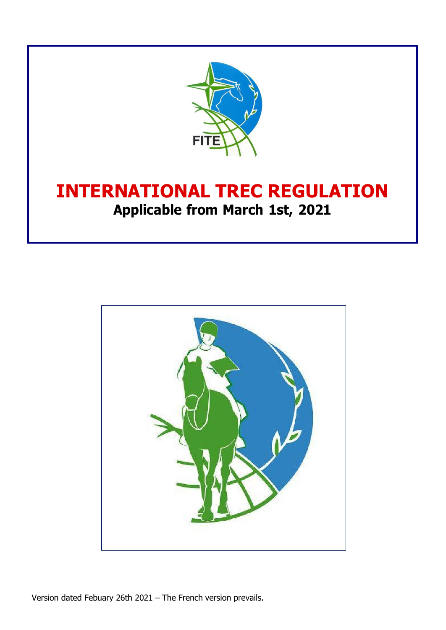

# **INTERNATIONAL TREC REGULATION Applicable from March 1st, 2021**

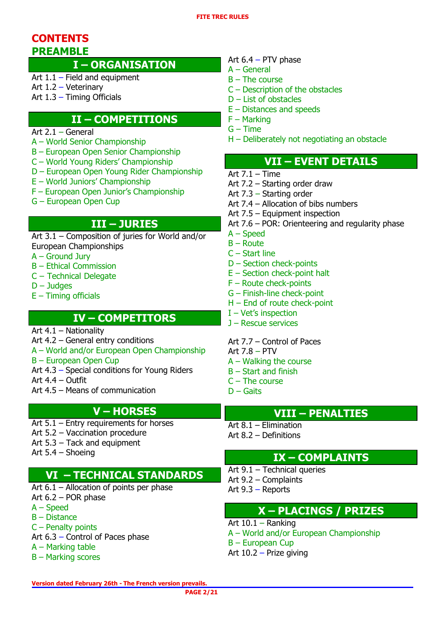## **CONTENTS PREAMBLE**

## **I – ORGANISATION**

Art 1.1 – Field and equipment

- Art 1.2 Veterinary
- Art 1.3 Timing Officials

## **II – COMPETITIONS**

- Art 2.1 General
- A World Senior Championship
- B European Open Senior Championship
- C World Young Riders' Championship
- D European Open Young Rider Championship
- E World Juniors' Championship
- F European Open Junior's Championship
- G European Open Cup

## **III – JURIES**

Art 3.1 – Composition of juries for World and/or European Championships

- A Ground Jury
- B Ethical Commission
- C Technical Delegate
- D Judges
- $E$  Timing officials

## **IV – COMPETITORS**

Art 4.1 – Nationality

- Art 4.2 General entry conditions
- A World and/or European Open Championship
- B European Open Cup
- Art 4.3 Special conditions for Young Riders

Art 4.4 – Outfit

Art 4.5 – Means of communication

## **V – HORSES**

- Art 5.1 Entry requirements for horses Art 5.2 – Vaccination procedure
- Art 5.3 Tack and equipment
- Art 5.4 Shoeing

## **VI – TECHNICAL STANDARDS**

- Art 6.1 Allocation of points per phase Art 6.2 – POR phase A – Speed B – Distance
- C Penalty points
- Art 6.3 Control of Paces phase
- A Marking table
- B Marking scores

## Art 6.4 – PTV phase

- A General
- $B$  The course
- C Description of the obstacles
- D List of obstacles
- E Distances and speeds
- F Marking
- $G$  Time
- H Deliberately not negotiating an obstacle

## **VII – EVENT DETAILS**

- Art  $7.1 Time$
- Art 7.2 Starting order draw
- Art 7.3 Starting order
- Art 7.4 Allocation of bibs numbers
- Art 7.5 Equipment inspection
- Art 7.6 POR: Orienteering and regularity phase
- A Speed
- $B -$ Route
- C Start line
- D Section check-points
- E Section check-point halt
- F Route check-points
- G Finish-line check-point
- H End of route check-point
- I Vet's inspection
- J Rescue services
- Art 7.7 Control of Paces
- Art 7.8 PTV
- A Walking the course
- B Start and finish
- C The course
- $D G$ aits

## **VIII – PENALTIES**

Art 8.1 – Elimination Art 8.2 – Definitions

## **IX – COMPLAINTS**

Art 9.1 – Technical queries Art 9.2 – Complaints Art 9.3 – Reports

## **X – PLACINGS / PRIZES**

Art 10.1 – Ranking A – World and/or European Championship B – European Cup Art 10.2 – Prize giving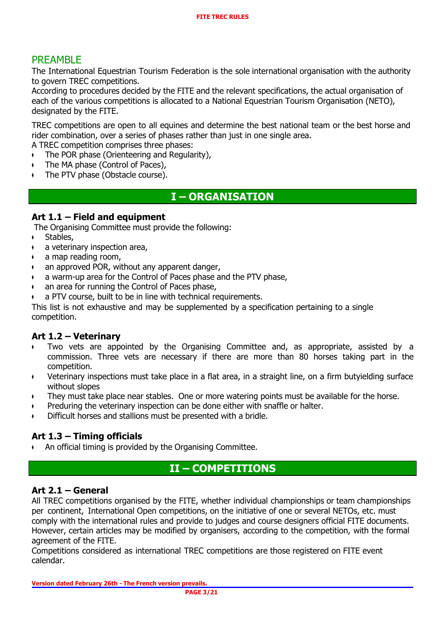## PREAMBLE

The International Equestrian Tourism Federation is the sole international organisation with the authority to govern TREC competitions.

According to procedures decided by the FITE and the relevant specifications, the actual organisation of each of the various competitions is allocated to a National Equestrian Tourism Organisation (NETO), designated by the FITE.

TREC competitions are open to all equines and determine the best national team or the best horse and rider combination, over a series of phases rather than just in one single area.

A TREC competition comprises three phases:

- $\arrow$  The POR phase (Orienteering and Regularity),
- The MA phase (Control of Paces),
- The PTV phase (Obstacle course).

## **I – ORGANISATION**

## **Art 1.1 – Field and equipment**

The Organising Committee must provide the following:

- Stables,
- a veterinary inspection area,
- $\bullet$  a map reading room,
- an approved POR, without any apparent danger,
- a warm-up area for the Control of Paces phase and the PTV phase,
- an area for running the Control of Paces phase,
- a PTV course, built to be in line with technical requirements.

This list is not exhaustive and may be supplemented by a specification pertaining to a single competition.

## **Art 1.2 – Veterinary**

- ♦ Two vets are appointed by the Organising Committee and, as appropriate, assisted by a commission. Three vets are necessary if there are more than 80 horses taking part in the competition.
- ♦ Veterinary inspections must take place in a flat area, in a straight line, on a firm butyielding surface without slopes
- They must take place near stables. One or more watering points must be available for the horse.
- Preduring the veterinary inspection can be done either with snaffle or halter.
- Difficult horses and stallions must be presented with a bridle.

## **Art 1.3 – Timing officials**

An official timing is provided by the Organising Committee.

## **II – COMPETITIONS**

## **Art 2.1 – General**

All TREC competitions organised by the FITE, whether individual championships or team championships per continent, International Open competitions, on the initiative of one or several NETOs, etc. must comply with the international rules and provide to judges and course designers official FITE documents. However, certain articles may be modified by organisers, according to the competition, with the formal agreement of the FITE.

Competitions considered as international TREC competitions are those registered on FITE event calendar.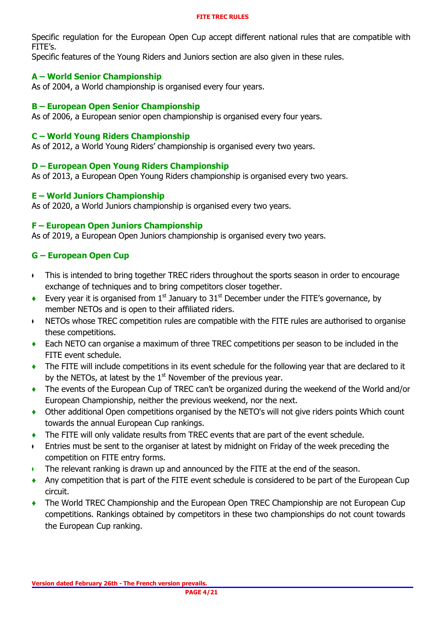Specific regulation for the European Open Cup accept different national rules that are compatible with FITE's.

Specific features of the Young Riders and Juniors section are also given in these rules.

### **A – World Senior Championship**

As of 2004, a World championship is organised every four years.

### **B – European Open Senior Championship**

As of 2006, a European senior open championship is organised every four years.

### **C – World Young Riders Championship**

As of 2012, a World Young Riders' championship is organised every two years.

### **D – European Open Young Riders Championship**

As of 2013, a European Open Young Riders championship is organised every two years.

### **E – World Juniors Championship**

As of 2020, a World Juniors championship is organised every two years.

### **F – European Open Juniors Championship**

As of 2019, a European Open Juniors championship is organised every two years.

## **G – European Open Cup**

- ♦ This is intended to bring together TREC riders throughout the sports season in order to encourage exchange of techniques and to bring competitors closer together.
- ◆ Every year it is organised from 1<sup>st</sup> January to 31<sup>st</sup> December under the FITE's governance, by member NETOs and is open to their affiliated riders.
- ♦ NETOs whose TREC competition rules are compatible with the FITE rules are authorised to organise these competitions.
- **♦** Each NETO can organise a maximum of three TREC competitions per season to be included in the FITE event schedule.
- **♦** The FITE will include competitions in its event schedule for the following year that are declared to it by the NETOs, at latest by the  $1<sup>st</sup>$  November of the previous year.
- **♦** The events of the European Cup of TREC can't be organized during the weekend of the World and/or European Championship, neither the previous weekend, nor the next.
- **♦** Other additional Open competitions organised by the NETO's will not give riders points Which count towards the annual European Cup rankings.
- **♦** The FITE will only validate results from TREC events that are part of the event schedule.
- ♦ Entries must be sent to the organiser at latest by midnight on Friday of the week preceding the competition on FITE entry forms.
- ♦ The relevant ranking is drawn up and announced by the FITE at the end of the season.
- **♦** Any competition that is part of the FITE event schedule is considered to be part of the European Cup circuit.
- The World TREC Championship and the European Open TREC Championship are not European Cup competitions. Rankings obtained by competitors in these two championships do not count towards the European Cup ranking.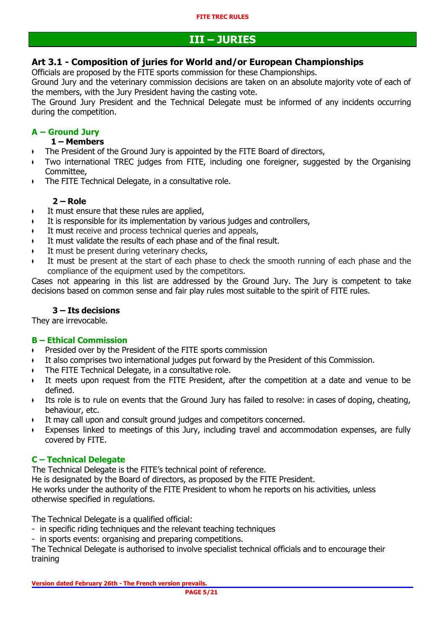## **III – JURIES**

## **Art 3.1 - Composition of juries for World and/or European Championships**

Officials are proposed by the FITE sports commission for these Championships.

Ground Jury and the veterinary commission decisions are taken on an absolute majority vote of each of the members, with the Jury President having the casting vote.

The Ground Jury President and the Technical Delegate must be informed of any incidents occurring during the competition.

## **A – Ground Jury**

## **1 – Members**

- ♦ The President of the Ground Jury is appointed by the FITE Board of directors,
- ♦ Two international TREC judges from FITE, including one foreigner, suggested by the Organising Committee,
- ♦ The FITE Technical Delegate, in a consultative role.

## **2 – Role**

- It must ensure that these rules are applied,
- It is responsible for its implementation by various judges and controllers,
- It must receive and process technical queries and appeals,
- It must validate the results of each phase and of the final result.
- It must be present during veterinary checks,
- It must be present at the start of each phase to check the smooth running of each phase and the compliance of the equipment used by the competitors.

Cases not appearing in this list are addressed by the Ground Jury. The Jury is competent to take decisions based on common sense and fair play rules most suitable to the spirit of FITE rules.

## **3 – Its decisions**

They are irrevocable.

## **B – Ethical Commission**

- ♦ Presided over by the President of the FITE sports commission
- ♦ It also comprises two international judges put forward by the President of this Commission.
- ♦ The FITE Technical Delegate, in a consultative role.
- ♦ It meets upon request from the FITE President, after the competition at a date and venue to be defined.
- ♦ Its role is to rule on events that the Ground Jury has failed to resolve: in cases of doping, cheating, behaviour, etc.
- ♦ It may call upon and consult ground judges and competitors concerned.
- Expenses linked to meetings of this Jury, including travel and accommodation expenses, are fully covered by FITE.

## **C – Technical Delegate**

The Technical Delegate is the FITE's technical point of reference.

He is designated by the Board of directors, as proposed by the FITE President. He works under the authority of the FITE President to whom he reports on his activities, unless otherwise specified in regulations.

The Technical Delegate is a qualified official:

- in specific riding techniques and the relevant teaching techniques
- in sports events: organising and preparing competitions.

The Technical Delegate is authorised to involve specialist technical officials and to encourage their training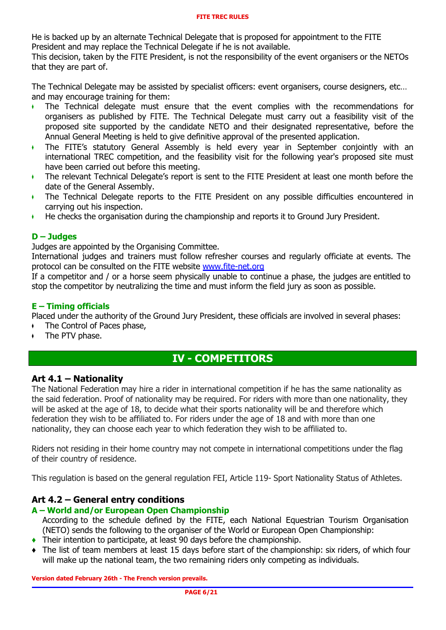He is backed up by an alternate Technical Delegate that is proposed for appointment to the FITE President and may replace the Technical Delegate if he is not available.

This decision, taken by the FITE President, is not the responsibility of the event organisers or the NETOs that they are part of.

The Technical Delegate may be assisted by specialist officers: event organisers, course designers, etc… and may encourage training for them:

- ♦ The Technical delegate must ensure that the event complies with the recommendations for organisers as published by FITE. The Technical Delegate must carry out a feasibility visit of the proposed site supported by the candidate NETO and their designated representative, before the Annual General Meeting is held to give definitive approval of the presented application.
- ♦ The FITE's statutory General Assembly is held every year in September conjointly with an international TREC competition, and the feasibility visit for the following year's proposed site must have been carried out before this meeting.
- ♦ The relevant Technical Delegate's report is sent to the FITE President at least one month before the date of the General Assembly.
- ♦ The Technical Delegate reports to the FITE President on any possible difficulties encountered in carrying out his inspection.
- ♦ He checks the organisation during the championship and reports it to Ground Jury President.

### **D – Judges**

Judges are appointed by the Organising Committee.

International judges and trainers must follow refresher courses and regularly officiate at events. The protocol can be consulted on the FITE website [www.fite-net.org](http://www.fite-net.org/)

If a competitor and / or a horse seem physically unable to continue a phase, the judges are entitled to stop the competitor by neutralizing the time and must inform the field jury as soon as possible.

#### **E – Timing officials**

Placed under the authority of the Ground Jury President, these officials are involved in several phases:

- $\arrow$  The Control of Paces phase,
- The PTV phase.

## **IV - COMPETITORS**

## **Art 4.1 – Nationality**

The National Federation may hire a rider in international competition if he has the same nationality as the said federation. Proof of nationality may be required. For riders with more than one nationality, they will be asked at the age of 18, to decide what their sports nationality will be and therefore which federation they wish to be affiliated to. For riders under the age of 18 and with more than one nationality, they can choose each year to which federation they wish to be affiliated to.

Riders not residing in their home country may not compete in international competitions under the flag of their country of residence.

This regulation is based on the general regulation FEI, Article 119- Sport Nationality Status of Athletes.

## **Art 4.2 – General entry conditions**

#### **A – World and/or European Open Championship**

According to the schedule defined by the FITE, each National Equestrian Tourism Organisation (NETO) sends the following to the organiser of the World or European Open Championship:

- **♦** Their intention to participate, at least 90 days before the championship.
- **♦** The list of team members at least 15 days before start of the championship: six riders, of which four will make up the national team, the two remaining riders only competing as individuals.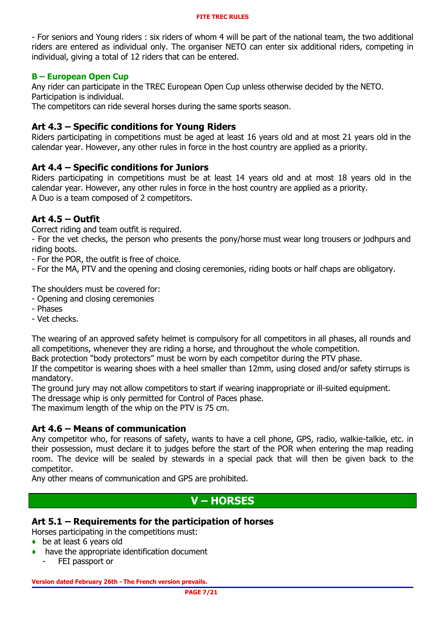- For seniors and Young riders : six riders of whom 4 will be part of the national team, the two additional riders are entered as individual only. The organiser NETO can enter six additional riders, competing in individual, giving a total of 12 riders that can be entered.

### **B – European Open Cup**

Any rider can participate in the TREC European Open Cup unless otherwise decided by the NETO. Participation is individual.

The competitors can ride several horses during the same sports season.

## **Art 4.3 – Specific conditions for Young Riders**

Riders participating in competitions must be aged at least 16 years old and at most 21 years old in the calendar year. However, any other rules in force in the host country are applied as a priority.

## **Art 4.4 – Specific conditions for Juniors**

Riders participating in competitions must be at least 14 years old and at most 18 years old in the calendar year. However, any other rules in force in the host country are applied as a priority. A Duo is a team composed of 2 competitors.

## **Art 4.5 – Outfit**

Correct riding and team outfit is required.

- For the vet checks, the person who presents the pony/horse must wear long trousers or jodhpurs and riding boots.

- For the POR, the outfit is free of choice.
- For the MA, PTV and the opening and closing ceremonies, riding boots or half chaps are obligatory.

The shoulders must be covered for:

- Opening and closing ceremonies
- Phases
- Vet checks.

The wearing of an approved safety helmet is compulsory for all competitors in all phases, all rounds and all competitions, whenever they are riding a horse, and throughout the whole competition.

Back protection "body protectors" must be worn by each competitor during the PTV phase.

If the competitor is wearing shoes with a heel smaller than 12mm, using closed and/or safety stirrups is mandatory.

The ground jury may not allow competitors to start if wearing inappropriate or ill-suited equipment.

The dressage whip is only permitted for Control of Paces phase.

The maximum length of the whip on the PTV is 75 cm.

## **Art 4.6 – Means of communication**

Any competitor who, for reasons of safety, wants to have a cell phone, GPS, radio, walkie-talkie, etc. in their possession, must declare it to judges before the start of the POR when entering the map reading room. The device will be sealed by stewards in a special pack that will then be given back to the competitor.

Any other means of communication and GPS are prohibited.

## **V – HORSES**

## **Art 5.1 – Requirements for the participation of horses**

Horses participating in the competitions must:

- **♦** be at least 6 years old
- have the appropriate identification document
	- FEI passport or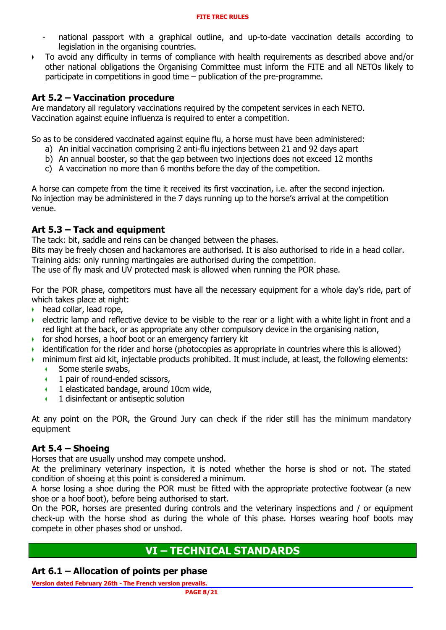- national passport with a graphical outline, and up-to-date vaccination details according to legislation in the organising countries.
- ♦ To avoid any difficulty in terms of compliance with health requirements as described above and/or other national obligations the Organising Committee must inform the FITE and all NETOs likely to participate in competitions in good time – publication of the pre-programme.

## **Art 5.2 – Vaccination procedure**

Are mandatory all regulatory vaccinations required by the competent services in each NETO. Vaccination against equine influenza is required to enter a competition.

So as to be considered vaccinated against equine flu, a horse must have been administered:

- a) An initial vaccination comprising 2 anti-flu injections between 21 and 92 days apart
- b) An annual booster, so that the gap between two injections does not exceed 12 months
- c) A vaccination no more than 6 months before the day of the competition.

A horse can compete from the time it received its first vaccination, i.e. after the second injection. No injection may be administered in the 7 days running up to the horse's arrival at the competition venue.

## **Art 5.3 – Tack and equipment**

The tack: bit, saddle and reins can be changed between the phases.

Bits may be freely chosen and hackamores are authorised. It is also authorised to ride in a head collar. Training aids: only running martingales are authorised during the competition.

The use of fly mask and UV protected mask is allowed when running the POR phase.

For the POR phase, competitors must have all the necessary equipment for a whole day's ride, part of which takes place at night:

- $\bullet$  head collar, lead rope,
- ♦ electric lamp and reflective device to be visible to the rear or a light with a white light in front and a red light at the back, or as appropriate any other compulsory device in the organising nation,
- ♦ for shod horses, a hoof boot or an emergency farriery kit
- ♦ identification for the rider and horse (photocopies as appropriate in countries where this is allowed)
- ♦ minimum first aid kit, injectable products prohibited. It must include, at least, the following elements:
	- ◆ Some sterile swabs,
	- $\cdot$  1 pair of round-ended scissors,
	- $\arrow$  1 elasticated bandage, around 10cm wide,
	- 1 disinfectant or antiseptic solution

At any point on the POR, the Ground Jury can check if the rider still has the minimum mandatory equipment

## **Art 5.4 – Shoeing**

Horses that are usually unshod may compete unshod.

At the preliminary veterinary inspection, it is noted whether the horse is shod or not. The stated condition of shoeing at this point is considered a minimum.

A horse losing a shoe during the POR must be fitted with the appropriate protective footwear (a new shoe or a hoof boot), before being authorised to start.

On the POR, horses are presented during controls and the veterinary inspections and / or equipment check-up with the horse shod as during the whole of this phase. Horses wearing hoof boots may compete in other phases shod or unshod.

## **VI – TECHNICAL STANDARDS**

## **Art 6.1 – Allocation of points per phase**

**Version dated February 26th - The French version prevails.**

**PAGE 8/21**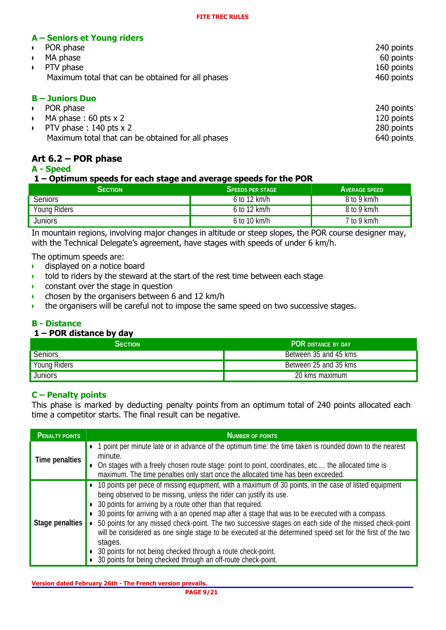## **A – Seniors et Young riders**

| POR phase                                         | 240 points |
|---------------------------------------------------|------------|
| MA phase                                          | 60 points  |
| PTV phase                                         | 160 points |
| Maximum total that can be obtained for all phases | 460 points |
|                                                   |            |

| $B -$ Juniors Duo                                 |            |  |
|---------------------------------------------------|------------|--|
| POR phase                                         | 240 points |  |
| MA phase $: 60$ pts $\times 2$                    | 120 points |  |
| PTV phase $: 140$ pts $\times 2$                  | 280 points |  |
| Maximum total that can be obtained for all phases | 640 points |  |

## **Art 6.2 – POR phase**

### **A - Speed**

#### **1 – Optimum speeds for each stage and average speeds for the POR**

| <b>SECTION</b> | <b>SPEEDS PER STAGE</b> | <b>AVERAGE SPEED</b> |
|----------------|-------------------------|----------------------|
| Seniors        | 6 to 12 km/h            | 8 to 9 km/h          |
| Young Riders   | 6 to 12 km/h            | 8 to 9 km/h          |
| Juniors        | 6 to 10 km/h            | $7$ to $9$ km/h      |

In mountain regions, involving major changes in altitude or steep slopes, the POR course designer may, with the Technical Delegate's agreement, have stages with speeds of under 6 km/h.

The optimum speeds are:

- $\bullet$  displayed on a notice board
- $\bullet$  told to riders by the steward at the start of the rest time between each stage
- $\bullet$  constant over the stage in question
- $\cdot$  chosen by the organisers between 6 and 12 km/h
- ♦ the organisers will be careful not to impose the same speed on two successive stages.

## **B - Distance**

## **1 – POR distance by day**

| <b>SECTION</b> | <b>POR DISTANCE BY DAY</b> |  |
|----------------|----------------------------|--|
| Seniors        | Between 35 and 45 kms      |  |
| Young Riders   | Between 25 and 35 kms      |  |
| <b>Juniors</b> | 20 kms maximum             |  |

## **C – Penalty points**

This phase is marked by deducting penalty points from an optimum total of 240 points allocated each time a competitor starts. The final result can be negative.

| <b>PENALTY POINTS</b>  | <b>NUMBER OF POINTS</b>                                                                                                                                                                                                                                                                                                                                                                                                                                                                                                                                                                                                                                                                                                         |
|------------------------|---------------------------------------------------------------------------------------------------------------------------------------------------------------------------------------------------------------------------------------------------------------------------------------------------------------------------------------------------------------------------------------------------------------------------------------------------------------------------------------------------------------------------------------------------------------------------------------------------------------------------------------------------------------------------------------------------------------------------------|
| <b>Time penalties</b>  | • 1 point per minute late or in advance of the optimum time: the time taken is rounded down to the nearest<br>minute.<br>• On stages with a freely chosen route stage: point to point, coordinates, etc the allocated time is<br>maximum. The time penalties only start once the allocated time has been exceeded.                                                                                                                                                                                                                                                                                                                                                                                                              |
| <b>Stage penalties</b> | • 10 points per piece of missing equipment, with a maximum of 30 points, in the case of listed equipment<br>being observed to be missing, unless the rider can justify its use.<br>• 30 points for arriving by a route other than that required.<br>• 30 points for arriving with a an opened map after a stage that was to be executed with a compass.<br>50 points for any missed check-point. The two successive stages on each side of the missed check-point<br>will be considered as one single stage to be executed at the determined speed set for the first of the two<br>stages.<br>• 30 points for not being checked through a route check-point.<br>• 30 points for being checked through an off-route check-point. |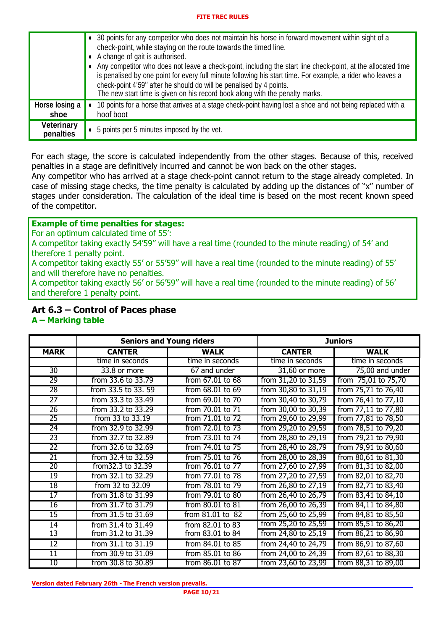|                                | • 30 points for any competitor who does not maintain his horse in forward movement within sight of a<br>check-point, while staying on the route towards the timed line.<br>• A change of gait is authorised.<br>• Any competitor who does not leave a check-point, including the start line check-point, at the allocated time<br>is penalised by one point for every full minute following his start time. For example, a rider who leaves a<br>check-point 4'59" after he should do will be penalised by 4 points.<br>The new start time is given on his record book along with the penalty marks. |
|--------------------------------|------------------------------------------------------------------------------------------------------------------------------------------------------------------------------------------------------------------------------------------------------------------------------------------------------------------------------------------------------------------------------------------------------------------------------------------------------------------------------------------------------------------------------------------------------------------------------------------------------|
| Horse losing a<br>shoe         | 10 points for a horse that arrives at a stage check-point having lost a shoe and not being replaced with a<br>hoof boot                                                                                                                                                                                                                                                                                                                                                                                                                                                                              |
| <b>Veterinary</b><br>penalties | • 5 points per 5 minutes imposed by the vet.                                                                                                                                                                                                                                                                                                                                                                                                                                                                                                                                                         |

For each stage, the score is calculated independently from the other stages. Because of this, received penalties in a stage are definitively incurred and cannot be won back on the other stages.

Any competitor who has arrived at a stage check-point cannot return to the stage already completed. In case of missing stage checks, the time penalty is calculated by adding up the distances of "x" number of stages under consideration. The calculation of the ideal time is based on the most recent known speed of the competitor.

## **Example of time penalties for stages:**

For an optimum calculated time of 55':

A competitor taking exactly 54'59'' will have a real time (rounded to the minute reading) of 54' and therefore 1 penalty point.

A competitor taking exactly 55' or 55'59'' will have a real time (rounded to the minute reading) of 55' and will therefore have no penalties.

A competitor taking exactly 56' or 56'59'' will have a real time (rounded to the minute reading) of 56' and therefore 1 penalty point.

### **Art 6.3 – Control of Paces phase**

#### **A – Marking table**

|                 | <b>Seniors and Young riders</b> |                  |                     | <b>Juniors</b>         |
|-----------------|---------------------------------|------------------|---------------------|------------------------|
| <b>MARK</b>     | <b>CANTER</b>                   | <b>WALK</b>      | <b>CANTER</b>       | <b>WALK</b>            |
|                 | time in seconds                 | time in seconds  | time in seconds     | time in seconds        |
| $\overline{30}$ | 33.8 or more                    | 67 and under     | $31,60$ or more     | 75,00 and under        |
| 29              | from 33.6 to 33.79              | from 67.01 to 68 | from 31,20 to 31,59 | 75,01 to 75,70<br>from |
| 28              | from 33.5 to 33.59              | from 68.01 to 69 | from 30,80 to 31,19 | from 75,71 to 76,40    |
| $\overline{27}$ | from 33.3 to 33.49              | from 69.01 to 70 | from 30,40 to 30,79 | from 76,41 to 77,10    |
| 26              | from 33.2 to 33.29              | from 70.01 to 71 | from 30,00 to 30,39 | from 77,11 to 77,80    |
| 25              | from 33 to 33.19                | from 71.01 to 72 | from 29,60 to 29,99 | from 77,81 to 78,50    |
| $\overline{24}$ | from 32.9 to 32.99              | from 72.01 to 73 | from 29,20 to 29,59 | from 78,51 to 79,20    |
| 23              | from 32.7 to 32.89              | from 73.01 to 74 | from 28,80 to 29,19 | from 79,21 to 79,90    |
| $\overline{22}$ | from 32.6 to 32.69              | from 74.01 to 75 | from 28,40 to 28,79 | from 79,91 to 80,60    |
| $\overline{21}$ | from 32.4 to 32.59              | from 75.01 to 76 | from 28,00 to 28,39 | from 80,61 to 81,30    |
| 20              | from 32.3 to 32.39              | from 76.01 to 77 | from 27,60 to 27,99 | from 81,31 to 82,00    |
| 19              | from 32.1 to 32.29              | from 77.01 to 78 | from 27,20 to 27,59 | from 82,01 to 82,70    |
| $\overline{18}$ | from 32 to 32.09                | from 78.01 to 79 | from 26,80 to 27,19 | from 82,71 to 83,40    |
| $\overline{17}$ | from 31.8 to 31.99              | from 79.01 to 80 | from 26,40 to 26,79 | from 83,41 to 84,10    |
| 16              | from 31.7 to 31.79              | from 80.01 to 81 | from 26,00 to 26,39 | from 84,11 to 84,80    |
| $\overline{15}$ | from 31.5 to 31.69              | from 81.01 to 82 | from 25,60 to 25,99 | from 84,81 to 85,50    |
| 14              | from 31.4 to 31.49              | from 82.01 to 83 | from 25,20 to 25,59 | from 85,51 to 86,20    |
| 13              | from 31.2 to 31.39              | from 83.01 to 84 | from 24,80 to 25,19 | from 86,21 to 86,90    |
| $\overline{12}$ | from 31.1 to 31.19              | from 84.01 to 85 | from 24,40 to 24,79 | from 86,91 to 87,60    |
| $\overline{11}$ | from 30.9 to 31.09              | from 85.01 to 86 | from 24,00 to 24,39 | from 87,61 to 88,30    |
| 10              | from 30.8 to 30.89              | from 86.01 to 87 | from 23,60 to 23,99 | from 88,31 to 89,00    |

**Version dated February 26th - The French version prevails.**

**PAGE 10/21**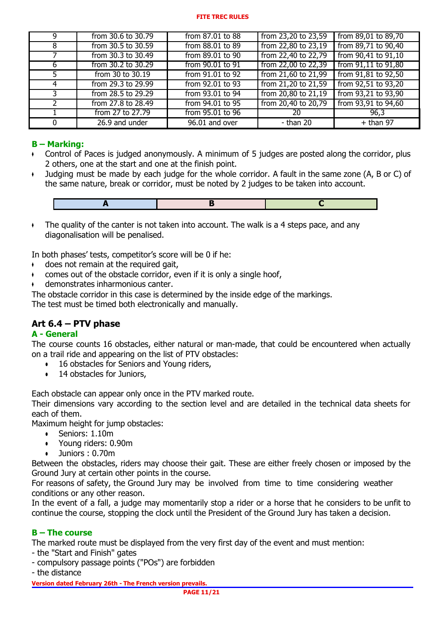| q             | from 30.6 to 30.79 | from 87.01 to 88 | from 23,20 to 23,59 | from 89,01 to 89,70     |
|---------------|--------------------|------------------|---------------------|-------------------------|
| 8             | from 30.5 to 30.59 | from 88.01 to 89 | from 22,80 to 23,19 | from 89,71 to 90,40     |
|               | from 30.3 to 30.49 | from 89.01 to 90 | from 22,40 to 22,79 | from 90,41 to 91,10     |
| 6             | from 30.2 to 30.29 | from 90.01 to 91 | from 22,00 to 22,39 | from $91,11$ to $91,80$ |
| 5.            | from 30 to 30.19   | from 91.01 to 92 | from 21,60 to 21,99 | from 91,81 to 92,50     |
| 4             | from 29.3 to 29.99 | from 92.01 to 93 | from 21,20 to 21,59 | from 92,51 to 93,20     |
| 3             | from 28.5 to 29.29 | from 93.01 to 94 | from 20,80 to 21,19 | from 93,21 to 93,90     |
| $\mathcal{L}$ | from 27.8 to 28.49 | from 94.01 to 95 | from 20,40 to 20,79 | from 93,91 to 94,60     |
|               | from 27 to 27.79   | from 95.01 to 96 | 20                  | 96,3                    |
| $\Omega$      | 26.9 and under     | 96.01 and over   | - than 20           | $+$ than 97             |

## **B – Marking:**

- ♦ Control of Paces is judged anonymously. A minimum of 5 judges are posted along the corridor, plus 2 others, one at the start and one at the finish point.
- ♦ Judging must be made by each judge for the whole corridor. A fault in the same zone (A, B or C) of the same nature, break or corridor, must be noted by 2 judges to be taken into account.



 $\bullet$  The quality of the canter is not taken into account. The walk is a 4 steps pace, and any diagonalisation will be penalised.

In both phases' tests, competitor's score will be 0 if he:

- $\arrow$  does not remain at the required gait,
- comes out of the obstacle corridor, even if it is only a single hoof,
- demonstrates inharmonious canter.

The obstacle corridor in this case is determined by the inside edge of the markings.

The test must be timed both electronically and manually.

## **Art 6.4 – PTV phase**

#### **A - General**

The course counts 16 obstacles, either natural or man-made, that could be encountered when actually on a trail ride and appearing on the list of PTV obstacles:

- 16 obstacles for Seniors and Young riders,
- 14 obstacles for Juniors,

Each obstacle can appear only once in the PTV marked route.

Their dimensions vary according to the section level and are detailed in the technical data sheets for each of them.

Maximum height for jump obstacles:

- Seniors: 1.10m
- Young riders: 0.90m
- Juniors: 0.70m

Between the obstacles, riders may choose their gait. These are either freely chosen or imposed by the Ground Jury at certain other points in the course.

For reasons of safety, the Ground Jury may be involved from time to time considering weather conditions or any other reason.

In the event of a fall, a judge may momentarily stop a rider or a horse that he considers to be unfit to continue the course, stopping the clock until the President of the Ground Jury has taken a decision.

#### **B – The course**

The marked route must be displayed from the very first day of the event and must mention:

- the "Start and Finish" gates
- compulsory passage points ("POs") are forbidden
- the distance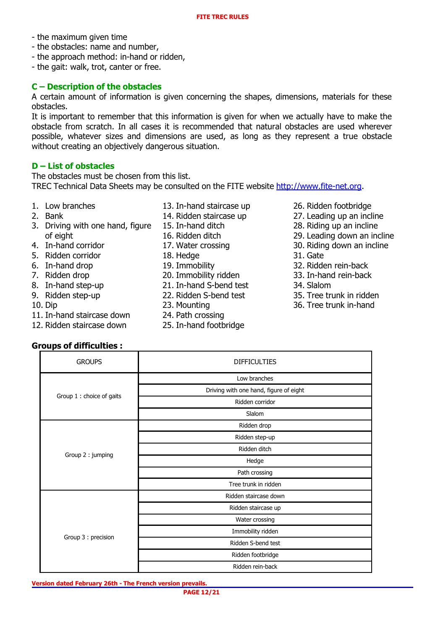- the maximum given time
- the obstacles: name and number,
- the approach method: in-hand or ridden,
- the gait: walk, trot, canter or free.

#### **C – Description of the obstacles**

A certain amount of information is given concerning the shapes, dimensions, materials for these obstacles.

It is important to remember that this information is given for when we actually have to make the obstacle from scratch. In all cases it is recommended that natural obstacles are used wherever possible, whatever sizes and dimensions are used, as long as they represent a true obstacle without creating an objectively dangerous situation.

#### **D – List of obstacles**

The obstacles must be chosen from this list. TREC Technical Data Sheets may be consulted on the FITE website [http://www.fite-net.org.](http://www.fite-net.org/)

- 1. Low branches
- 2. Bank
- 3. Driving with one hand, figure of eight
- 4. In-hand corridor
- 5. Ridden corridor
- 6. In-hand drop
- 7. Ridden drop
- 8. In-hand step-up
- 9. Ridden step-up
- 10. Dip
- 11. In-hand staircase down
- 12. Ridden staircase down

**Groups of difficulties :**

- 13. In-hand staircase up
- 14. Ridden staircase up
- 15. In-hand ditch
- 16. Ridden ditch
- 17. Water crossing
- 18. Hedge
- 19. Immobility
- 20. Immobility ridden
- 21. In-hand S-bend test
- 22. Ridden S-bend test
- 23. Mounting
- 24. Path crossing
- 25. In-hand footbridge
- 26. Ridden footbridge
- 27. Leading up an incline
- 28. Riding up an incline
- 29. Leading down an incline
- 30. Riding down an incline
- 31. Gate
- 32. Ridden rein-back
- 33. In-hand rein-back
- 34. Slalom
- 35. Tree trunk in ridden
- 36. Tree trunk in-hand

|  | <b>GROUPS</b>             | <b>DIFFICULTIES</b>                    |
|--|---------------------------|----------------------------------------|
|  | Group 1 : choice of gaits | Low branches                           |
|  |                           | Driving with one hand, figure of eight |
|  |                           | Ridden corridor                        |
|  |                           | Slalom                                 |
|  | Group 2: jumping          | Ridden drop                            |
|  |                           | Ridden step-up                         |
|  |                           | Ridden ditch                           |
|  |                           | Hedge                                  |
|  |                           | Path crossing                          |
|  |                           | Tree trunk in ridden                   |

**Version dated February 26th - The French version prevails. PAGE 12/21**

Group 3 : precision

Ridden staircase down Ridden staircase up Water crossing Immobility ridden Ridden S-bend test Ridden footbridge Ridden rein-back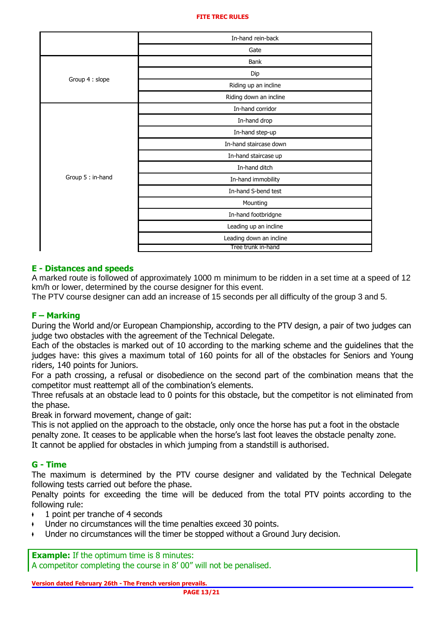|                   | In-hand rein-back       |
|-------------------|-------------------------|
|                   | Gate                    |
|                   | Bank                    |
|                   | Dip                     |
| Group 4 : slope   | Riding up an incline    |
|                   | Riding down an incline  |
|                   | In-hand corridor        |
|                   | In-hand drop            |
|                   | In-hand step-up         |
|                   | In-hand staircase down  |
|                   | In-hand staircase up    |
|                   | In-hand ditch           |
| Group 5 : in-hand | In-hand immobility      |
|                   | In-hand S-bend test     |
|                   | Mounting                |
|                   | In-hand footbridgne     |
|                   | Leading up an incline   |
|                   | Leading down an incline |
|                   | Tree trunk in-hand      |

#### **E - Distances and speeds**

A marked route is followed of approximately 1000 m minimum to be ridden in a set time at a speed of 12 km/h or lower, determined by the course designer for this event.

The PTV course designer can add an increase of 15 seconds per all difficulty of the group 3 and 5.

## **F – Marking**

During the World and/or European Championship, according to the PTV design, a pair of two judges can judge two obstacles with the agreement of the Technical Delegate.

Each of the obstacles is marked out of 10 according to the marking scheme and the guidelines that the judges have: this gives a maximum total of 160 points for all of the obstacles for Seniors and Young riders, 140 points for Juniors.

For a path crossing, a refusal or disobedience on the second part of the combination means that the competitor must reattempt all of the combination's elements.

Three refusals at an obstacle lead to 0 points for this obstacle, but the competitor is not eliminated from the phase.

Break in forward movement, change of gait:

This is not applied on the approach to the obstacle, only once the horse has put a foot in the obstacle penalty zone. It ceases to be applicable when the horse's last foot leaves the obstacle penalty zone. It cannot be applied for obstacles in which jumping from a standstill is authorised.

#### **G - Time**

The maximum is determined by the PTV course designer and validated by the Technical Delegate following tests carried out before the phase.

Penalty points for exceeding the time will be deduced from the total PTV points according to the following rule:

- 1 point per tranche of 4 seconds
- Under no circumstances will the time penalties exceed 30 points.
- Under no circumstances will the timer be stopped without a Ground Jury decision.

**Example:** If the optimum time is 8 minutes: A competitor completing the course in 8' 00" will not be penalised.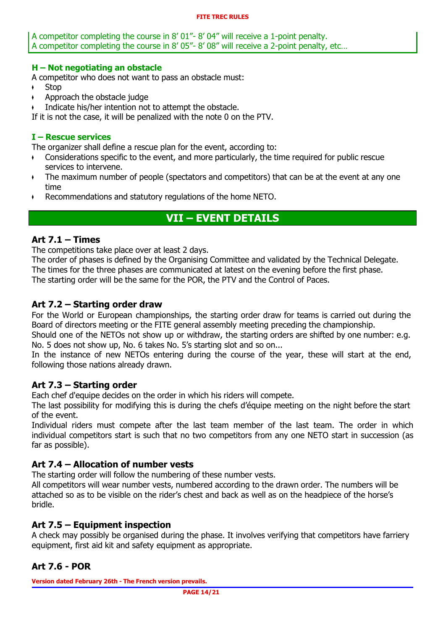A competitor completing the course in 8' 01"- 8' 04" will receive a 1-point penalty. A competitor completing the course in 8' 05"- 8' 08" will receive a 2-point penalty, etc…

### **H – Not negotiating an obstacle**

A competitor who does not want to pass an obstacle must:

- $\cdot$  Stop
- Approach the obstacle judge
- Indicate his/her intention not to attempt the obstacle.

If it is not the case, it will be penalized with the note 0 on the PTV.

## **I – Rescue services**

The organizer shall define a rescue plan for the event, according to:

- ♦ Considerations specific to the event, and more particularly, the time required for public rescue services to intervene.
- The maximum number of people (spectators and competitors) that can be at the event at any one time
- $\cdot$  Recommendations and statutory regulations of the home NETO.

## **VII – EVENT DETAILS**

## **Art 7.1 – Times**

The competitions take place over at least 2 days.

The order of phases is defined by the Organising Committee and validated by the Technical Delegate. The times for the three phases are communicated at latest on the evening before the first phase. The starting order will be the same for the POR, the PTV and the Control of Paces.

## **Art 7.2 – Starting order draw**

For the World or European championships, the starting order draw for teams is carried out during the Board of directors meeting or the FITE general assembly meeting preceding the championship.

Should one of the NETOs not show up or withdraw, the starting orders are shifted by one number: e.g. No. 5 does not show up, No. 6 takes No. 5's starting slot and so on...

In the instance of new NETOs entering during the course of the year, these will start at the end, following those nations already drawn.

## **Art 7.3 – Starting order**

Each chef d'equipe decides on the order in which his riders will compete.

The last possibility for modifying this is during the chefs d'équipe meeting on the night before the start of the event.

Individual riders must compete after the last team member of the last team. The order in which individual competitors start is such that no two competitors from any one NETO start in succession (as far as possible).

## **Art 7.4 – Allocation of number vests**

The starting order will follow the numbering of these number vests.

All competitors will wear number vests, numbered according to the drawn order. The numbers will be attached so as to be visible on the rider's chest and back as well as on the headpiece of the horse's bridle.

## **Art 7.5 – Equipment inspection**

A check may possibly be organised during the phase. It involves verifying that competitors have farriery equipment, first aid kit and safety equipment as appropriate.

## **Art 7.6 - POR**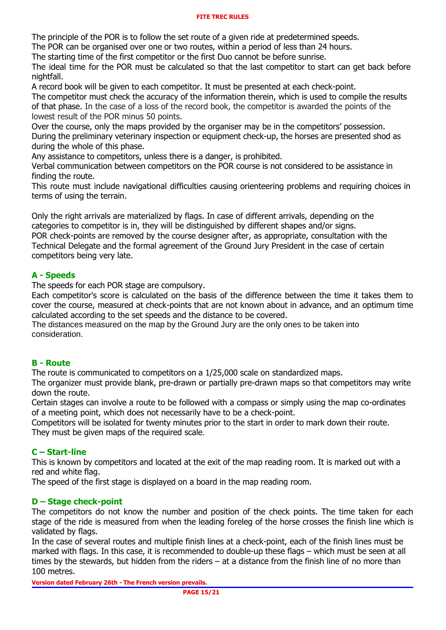The principle of the POR is to follow the set route of a given ride at predetermined speeds.

The POR can be organised over one or two routes, within a period of less than 24 hours.

The starting time of the first competitor or the first Duo cannot be before sunrise.

The ideal time for the POR must be calculated so that the last competitor to start can get back before nightfall.

A record book will be given to each competitor. It must be presented at each check-point.

The competitor must check the accuracy of the information therein, which is used to compile the results of that phase. In the case of a loss of the record book, the competitor is awarded the points of the lowest result of the POR minus 50 points.

Over the course, only the maps provided by the organiser may be in the competitors' possession. During the preliminary veterinary inspection or equipment check-up, the horses are presented shod as during the whole of this phase.

Any assistance to competitors, unless there is a danger, is prohibited.

Verbal communication between competitors on the POR course is not considered to be assistance in finding the route.

This route must include navigational difficulties causing orienteering problems and requiring choices in terms of using the terrain.

Only the right arrivals are materialized by flags. In case of different arrivals, depending on the categories to competitor is in, they will be distinguished by different shapes and/or signs. POR check-points are removed by the course designer after, as appropriate, consultation with the Technical Delegate and the formal agreement of the Ground Jury President in the case of certain competitors being very late.

## **A - Speeds**

The speeds for each POR stage are compulsory.

Each competitor's score is calculated on the basis of the difference between the time it takes them to cover the course, measured at check-points that are not known about in advance, and an optimum time calculated according to the set speeds and the distance to be covered.

The distances measured on the map by the Ground Jury are the only ones to be taken into consideration.

#### **B - Route**

The route is communicated to competitors on a 1/25,000 scale on standardized maps.

The organizer must provide blank, pre-drawn or partially pre-drawn maps so that competitors may write down the route.

Certain stages can involve a route to be followed with a compass or simply using the map co-ordinates of a meeting point, which does not necessarily have to be a check-point.

Competitors will be isolated for twenty minutes prior to the start in order to mark down their route. They must be given maps of the required scale.

## **C – Start-line**

This is known by competitors and located at the exit of the map reading room. It is marked out with a red and white flag.

The speed of the first stage is displayed on a board in the map reading room.

#### **D – Stage check-point**

The competitors do not know the number and position of the check points. The time taken for each stage of the ride is measured from when the leading foreleg of the horse crosses the finish line which is validated by flags.

In the case of several routes and multiple finish lines at a check-point, each of the finish lines must be marked with flags. In this case, it is recommended to double-up these flags – which must be seen at all times by the stewards, but hidden from the riders – at a distance from the finish line of no more than 100 metres.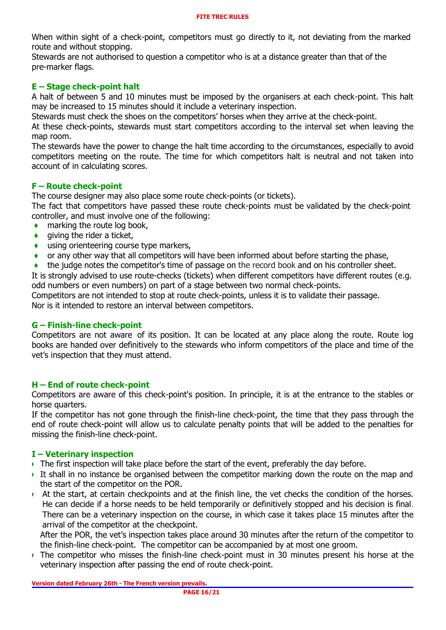When within sight of a check-point, competitors must go directly to it, not deviating from the marked route and without stopping.

Stewards are not authorised to question a competitor who is at a distance greater than that of the pre-marker flags.

### **E – Stage check-point halt**

A halt of between 5 and 10 minutes must be imposed by the organisers at each check-point. This halt may be increased to 15 minutes should it include a veterinary inspection.

Stewards must check the shoes on the competitors' horses when they arrive at the check-point.

At these check-points, stewards must start competitors according to the interval set when leaving the map room.

The stewards have the power to change the halt time according to the circumstances, especially to avoid competitors meeting on the route. The time for which competitors halt is neutral and not taken into account of in calculating scores.

#### **F – Route check-point**

The course designer may also place some route check-points (or tickets).

The fact that competitors have passed these route check-points must be validated by the check-point controller, and must involve one of the following:

- marking the route log book,
- **♦** giving the rider a ticket,
- **♦** using orienteering course type markers,
- or any other way that all competitors will have been informed about before starting the phase,
- the judge notes the competitor's time of passage on the record book and on his controller sheet.

It is strongly advised to use route-checks (tickets) when different competitors have different routes (e.g. odd numbers or even numbers) on part of a stage between two normal check-points.

Competitors are not intended to stop at route check-points, unless it is to validate their passage. Nor is it intended to restore an interval between competitors.

#### **G – Finish-line check-point**

Competitors are not aware of its position. It can be located at any place along the route. Route log books are handed over definitively to the stewards who inform competitors of the place and time of the vet's inspection that they must attend.

#### **H – End of route check-point**

Competitors are aware of this check-point's position. In principle, it is at the entrance to the stables or horse quarters.

If the competitor has not gone through the finish-line check-point, the time that they pass through the end of route check-point will allow us to calculate penalty points that will be added to the penalties for missing the finish-line check-point.

#### **I – Veterinary inspection**

- ♦ The first inspection will take place before the start of the event, preferably the day before.
- ♦ It shall in no instance be organised between the competitor marking down the route on the map and the start of the competitor on the POR.
- ♦ At the start, at certain checkpoints and at the finish line, the vet checks the condition of the horses. He can decide if a horse needs to be held temporarily or definitively stopped and his decision is final. There can be a veterinary inspection on the course, in which case it takes place 15 minutes after the arrival of the competitor at the checkpoint.

After the POR, the vet's inspection takes place around 30 minutes after the return of the competitor to the finish-line check-point. The competitor can be accompanied by at most one groom.

♦ The competitor who misses the finish-line check-point must in 30 minutes present his horse at the veterinary inspection after passing the end of route check-point.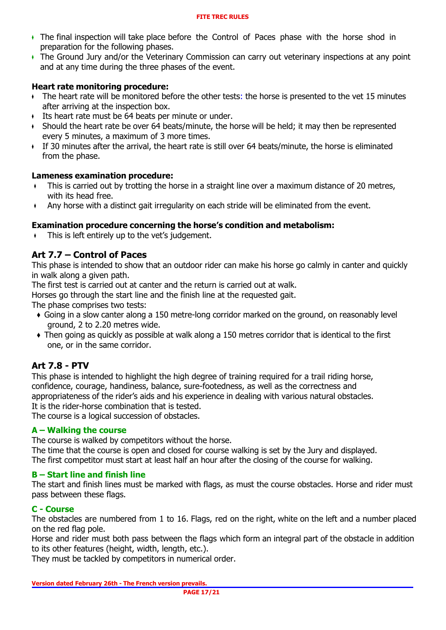- ♦ The final inspection will take place before the Control of Paces phase with the horse shod in preparation for the following phases.
- ♦ The Ground Jury and/or the Veterinary Commission can carry out veterinary inspections at any point and at any time during the three phases of the event.

### **Heart rate monitoring procedure:**

- ♦ The heart rate will be monitored before the other tests: the horse is presented to the vet 15 minutes after arriving at the inspection box.
- ♦ Its heart rate must be 64 beats per minute or under.
- ♦ Should the heart rate be over 64 beats/minute, the horse will be held; it may then be represented every 5 minutes, a maximum of 3 more times.
- ♦ If 30 minutes after the arrival, the heart rate is still over 64 beats/minute, the horse is eliminated from the phase.

#### **Lameness examination procedure:**

- This is carried out by trotting the horse in a straight line over a maximum distance of 20 metres, with its head free.
- Any horse with a distinct gait irregularity on each stride will be eliminated from the event.

#### **Examination procedure concerning the horse's condition and metabolism:**

This is left entirely up to the vet's judgement.

## **Art 7.7 – Control of Paces**

This phase is intended to show that an outdoor rider can make his horse go calmly in canter and quickly in walk along a given path.

The first test is carried out at canter and the return is carried out at walk.

Horses go through the start line and the finish line at the requested gait.

The phase comprises two tests:

- ♦ Going in a slow canter along a 150 metre-long corridor marked on the ground, on reasonably level ground, 2 to 2.20 metres wide.
- ♦ Then going as quickly as possible at walk along a 150 metres corridor that is identical to the first one, or in the same corridor.

## **Art 7.8 - PTV**

This phase is intended to highlight the high degree of training required for a trail riding horse, confidence, courage, handiness, balance, sure-footedness, as well as the correctness and appropriateness of the rider's aids and his experience in dealing with various natural obstacles. It is the rider-horse combination that is tested.

The course is a logical succession of obstacles.

#### **A – Walking the course**

The course is walked by competitors without the horse.

The time that the course is open and closed for course walking is set by the Jury and displayed. The first competitor must start at least half an hour after the closing of the course for walking.

#### **B – Start line and finish line**

The start and finish lines must be marked with flags, as must the course obstacles. Horse and rider must pass between these flags.

#### **C - Course**

The obstacles are numbered from 1 to 16. Flags, red on the right, white on the left and a number placed on the red flag pole.

Horse and rider must both pass between the flags which form an integral part of the obstacle in addition to its other features (height, width, length, etc.).

They must be tackled by competitors in numerical order.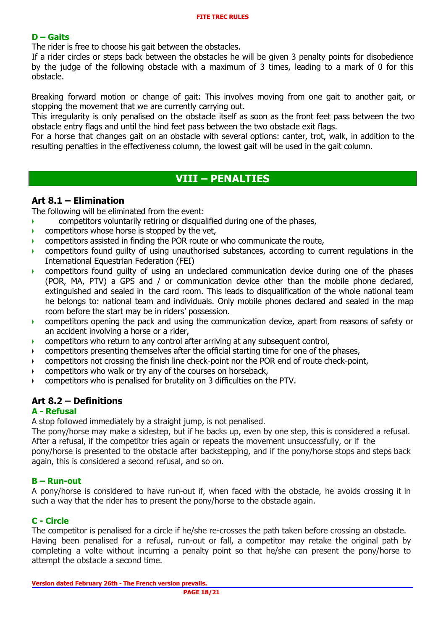### **D – Gaits**

The rider is free to choose his gait between the obstacles.

If a rider circles or steps back between the obstacles he will be given 3 penalty points for disobedience by the judge of the following obstacle with a maximum of 3 times, leading to a mark of 0 for this obstacle.

Breaking forward motion or change of gait: This involves moving from one gait to another gait, or stopping the movement that we are currently carrying out.

This irregularity is only penalised on the obstacle itself as soon as the front feet pass between the two obstacle entry flags and until the hind feet pass between the two obstacle exit flags.

For a horse that changes gait on an obstacle with several options: canter, trot, walk, in addition to the resulting penalties in the effectiveness column, the lowest gait will be used in the gait column.

## **VIII – PENALTIES**

### **Art 8.1 – Elimination**

The following will be eliminated from the event:

- ♦ competitors voluntarily retiring or disqualified during one of the phases,
- $\bullet$  competitors whose horse is stopped by the vet,
- ♦ competitors assisted in finding the POR route or who communicate the route,
- ♦ competitors found guilty of using unauthorised substances, according to current regulations in the International Equestrian Federation (FEI)
- $\bullet$  competitors found quilty of using an undeclared communication device during one of the phases (POR, MA, PTV) a GPS and / or communication device other than the mobile phone declared, extinguished and sealed in the card room. This leads to disqualification of the whole national team he belongs to: national team and individuals. Only mobile phones declared and sealed in the map room before the start may be in riders' possession.
- ♦ competitors opening the pack and using the communication device, apart from reasons of safety or an accident involving a horse or a rider,
- ♦ competitors who return to any control after arriving at any subsequent control,
- ♦ competitors presenting themselves after the official starting time for one of the phases,
- $\bullet$  competitors not crossing the finish line check-point nor the POR end of route check-point,
- competitors who walk or try any of the courses on horseback,
- competitors who is penalised for brutality on 3 difficulties on the PTV.

## **Art 8.2 – Definitions**

#### **A - Refusal**

A stop followed immediately by a straight jump, is not penalised.

The pony/horse may make a sidestep, but if he backs up, even by one step, this is considered a refusal. After a refusal, if the competitor tries again or repeats the movement unsuccessfully, or if the pony/horse is presented to the obstacle after backstepping, and if the pony/horse stops and steps back again, this is considered a second refusal, and so on.

#### **B – Run-out**

A pony/horse is considered to have run-out if, when faced with the obstacle, he avoids crossing it in such a way that the rider has to present the pony/horse to the obstacle again.

#### **C - Circle**

The competitor is penalised for a circle if he/she re-crosses the path taken before crossing an obstacle. Having been penalised for a refusal, run-out or fall, a competitor may retake the original path by completing a volte without incurring a penalty point so that he/she can present the pony/horse to attempt the obstacle a second time.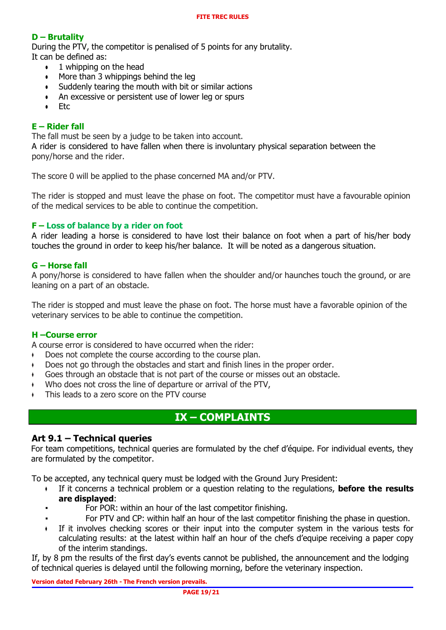## **D – Brutality**

During the PTV, the competitor is penalised of 5 points for any brutality. It can be defined as:

- 1 whipping on the head
- $\bullet$  More than 3 whippings behind the leg
- Suddenly tearing the mouth with bit or similar actions
- An excessive or persistent use of lower leg or spurs
- Etc

## **E – Rider fall**

The fall must be seen by a judge to be taken into account.

A rider is considered to have fallen when there is involuntary physical separation between the pony/horse and the rider.

The score 0 will be applied to the phase concerned MA and/or PTV.

The rider is stopped and must leave the phase on foot. The competitor must have a favourable opinion of the medical services to be able to continue the competition.

### **F – Loss of balance by a rider on foot**

A rider leading a horse is considered to have lost their balance on foot when a part of his/her body touches the ground in order to keep his/her balance. It will be noted as a dangerous situation.

### **G – Horse fall**

A pony/horse is considered to have fallen when the shoulder and/or haunches touch the ground, or are leaning on a part of an obstacle.

The rider is stopped and must leave the phase on foot. The horse must have a favorable opinion of the veterinary services to be able to continue the competition.

#### **H –Course error**

A course error is considered to have occurred when the rider:

- ♦ Does not complete the course according to the course plan.
- ♦ Does not go through the obstacles and start and finish lines in the proper order.
- ♦ Goes through an obstacle that is not part of the course or misses out an obstacle.
- Who does not cross the line of departure or arrival of the PTV,
- This leads to a zero score on the PTV course

## **IX – COMPLAINTS**

#### **Art 9.1 – Technical queries**

For team competitions, technical queries are formulated by the chef d'équipe. For individual events, they are formulated by the competitor.

To be accepted, any technical query must be lodged with the Ground Jury President:

- ♦ If it concerns a technical problem or a question relating to the regulations, **before the results are displayed**:
	- For POR: within an hour of the last competitor finishing.
	- For PTV and CP: within half an hour of the last competitor finishing the phase in question.
- ♦ If it involves checking scores or their input into the computer system in the various tests for calculating results: at the latest within half an hour of the chefs d'equipe receiving a paper copy of the interim standings.

If, by 8 pm the results of the first day's events cannot be published, the announcement and the lodging of technical queries is delayed until the following morning, before the veterinary inspection.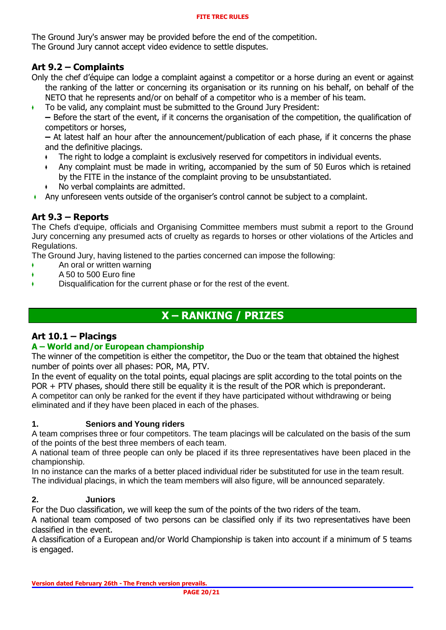The Ground Jury's answer may be provided before the end of the competition. The Ground Jury cannot accept video evidence to settle disputes.

## **Art 9.2 – Complaints**

Only the chef d'équipe can lodge a complaint against a competitor or a horse during an event or against the ranking of the latter or concerning its organisation or its running on his behalf, on behalf of the NETO that he represents and/or on behalf of a competitor who is a member of his team.

♦ To be valid, any complaint must be submitted to the Ground Jury President:

**–** Before the start of the event, if it concerns the organisation of the competition, the qualification of competitors or horses,

**–** At latest half an hour after the announcement/publication of each phase, if it concerns the phase and the definitive placings.

- ♦ The right to lodge a complaint is exclusively reserved for competitors in individual events.
- Any complaint must be made in writing, accompanied by the sum of 50 Euros which is retained by the FITE in the instance of the complaint proving to be unsubstantiated.
- No verbal complaints are admitted.
- ♦ Any unforeseen vents outside of the organiser's control cannot be subject to a complaint.

## **Art 9.3 – Reports**

The Chefs d'equipe, officials and Organising Committee members must submit a report to the Ground Jury concerning any presumed acts of cruelty as regards to horses or other violations of the Articles and Regulations.

The Ground Jury, having listened to the parties concerned can impose the following:

- ♦ An oral or written warning
- ♦ A 50 to 500 Euro fine
- ♦ Disqualification for the current phase or for the rest of the event.

## **X – RANKING / PRIZES**

## **Art 10.1 – Placings**

## **A – World and/or European championship**

The winner of the competition is either the competitor, the Duo or the team that obtained the highest number of points over all phases: POR, MA, PTV.

In the event of equality on the total points, equal placings are split according to the total points on the POR + PTV phases, should there still be equality it is the result of the POR which is preponderant. A competitor can only be ranked for the event if they have participated without withdrawing or being eliminated and if they have been placed in each of the phases.

#### **1. Seniors and Young riders**

A team comprises three or four competitors. The team placings will be calculated on the basis of the sum of the points of the best three members of each team.

A national team of three people can only be placed if its three representatives have been placed in the championship.

In no instance can the marks of a better placed individual rider be substituted for use in the team result. The individual placings, in which the team members will also figure, will be announced separately.

## **2. Juniors**

For the Duo classification, we will keep the sum of the points of the two riders of the team.

A national team composed of two persons can be classified only if its two representatives have been classified in the event.

A classification of a European and/or World Championship is taken into account if a minimum of 5 teams is engaged.